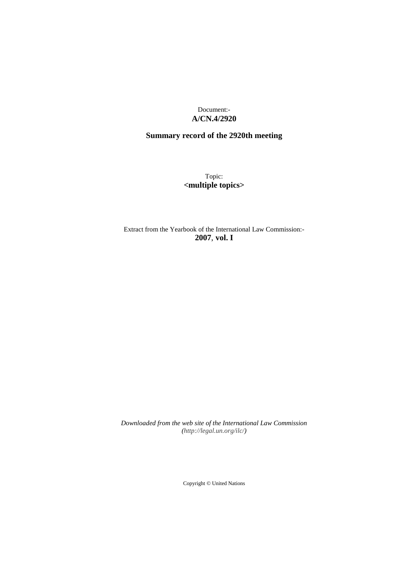Document:- **A/CN.4/2920**

# **Summary record of the 2920th meeting**

Topic: **<multiple topics>**

Extract from the Yearbook of the International Law Commission:- **2007**, **vol. I**

*Downloaded from the web site of the International Law Commission (http://legal.un.org/ilc/)*

Copyright © United Nations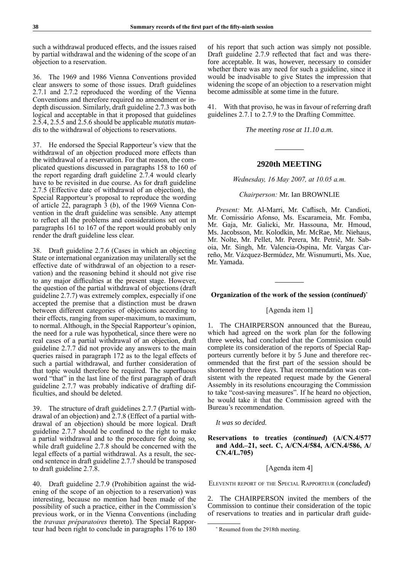such a withdrawal produced effects, and the issues raised by partial withdrawal and the widening of the scope of an objection to a reservation.

36. The 1969 and 1986 Vienna Conventions provided clear answers to some of those issues. Draft guidelines 2.7.1 and 2.7.2 reproduced the wording of the Vienna Conventions and therefore required no amendment or indepth discussion. Similarly, draft guideline 2.7.3 was both logical and acceptable in that it proposed that guidelines 2.5.4, 2.5.5 and 2.5.6 should be applicable *mutatis mutandis* to the withdrawal of objections to reservations.

37. He endorsed the Special Rapporteur's view that the withdrawal of an objection produced more effects than the withdrawal of a reservation. For that reason, the complicated questions discussed in paragraphs 158 to 160 of the report regarding draft guideline 2.7.4 would clearly have to be revisited in due course. As for draft guideline 2.7.5 (Effective date of withdrawal of an objection), the Special Rapporteur's proposal to reproduce the wording of article 22, paragraph 3 (*b*), of the 1969 Vienna Convention in the draft guideline was sensible. Any attempt to reflect all the problems and considerations set out in paragraphs 161 to 167 of the report would probably only render the draft guideline less clear.

38. Draft guideline 2.7.6 (Cases in which an objecting State or international organization may unilaterally set the effective date of withdrawal of an objection to a reservation) and the reasoning behind it should not give rise to any major difficulties at the present stage. However, the question of the partial withdrawal of objections (draft guideline 2.7.7) was extremely complex, especially if one accepted the premise that a distinction must be drawn between different categories of objections according to their effects, ranging from super-maximum, to maximum, to normal. Although, in the Special Rapporteur's opinion, the need for a rule was hypothetical, since there were no real cases of a partial withdrawal of an objection, draft guideline 2.7.7 did not provide any answers to the main queries raised in paragraph 172 as to the legal effects of such a partial withdrawal, and further consideration of that topic would therefore be required. The superfluous word "that" in the last line of the first paragraph of draft guideline 2.7.7 was probably indicative of drafting difficulties, and should be deleted.

39. The structure of draft guidelines 2.7.7 (Partial withdrawal of an objection) and 2.7.8 (Effect of a partial withdrawal of an objection) should be more logical. Draft guideline 2.7.7 should be confined to the right to make a partial withdrawal and to the procedure for doing so, while draft guideline 2.7.8 should be concerned with the legal effects of a partial withdrawal. As a result, the second sentence in draft guideline 2.7.7 should be transposed to draft guideline 2.7.8.

40. Draft guideline 2.7.9 (Prohibition against the widening of the scope of an objection to a reservation) was interesting, because no mention had been made of the possibility of such a practice, either in the Commission's previous work, or in the Vienna Conventions (including the *travaux préparatoires* thereto). The Special Rapporteur had been right to conclude in paragraphs 176 to 180 of his report that such action was simply not possible. Draft guideline 2.7.9 reflected that fact and was therefore acceptable. It was, however, necessary to consider whether there was any need for such a guideline, since it would be inadvisable to give States the impression that widening the scope of an objection to a reservation might become admissible at some time in the future.

41. With that proviso, he was in favour of referring draft guidelines 2.7.1 to 2.7.9 to the Drafting Committee.

*The meeting rose at 11.10 a.m.*

## **2920th MEETING**

*Wednesday, 16 May 2007, at 10.05 a.m.*

### *Chairperson:* Mr. Ian BROWNLIE

*Present:* Mr. Al-Marri, Mr. Caflisch, Mr. Candioti, Mr. Comissário Afonso, Ms. Escarameia, Mr. Fomba, Mr. Gaja, Mr. Galicki, Mr. Hassouna, Mr. Hmoud, Ms. Jacobsson, Mr. Kolodkin, Mr. McRae, Mr. Niehaus, Mr. Nolte, Mr. Pellet, Mr. Perera, Mr. Petrič, Mr. Saboia, Mr. Singh, Mr. Valencia-Ospina, Mr. Vargas Carreño, Mr. Vázquez-Bermúdez, Mr. Wisnumurti, Ms. Xue, Mr. Yamada.

## **Organization of the work of the session (***continued***)** \*

## [Agenda item 1]

1. The CHAIRPERSON announced that the Bureau, which had agreed on the work plan for the following three weeks, had concluded that the Commission could complete its consideration of the reports of Special Rapporteurs currently before it by 5 June and therefore recommended that the first part of the session should be shortened by three days. That recommendation was consistent with the repeated request made by the General Assembly in its resolutions encouraging the Commission to take "cost-saving measures". If he heard no objection, he would take it that the Commission agreed with the Bureau's recommendation.

*It was so decided.*

## **Reservations to treaties (***continued***) (A/CN.4/577 and Add.–21, sect. C, A/CN.4/584, A/CN.4/586, A/ CN.4/L.705)**

#### [Agenda item 4]

Eleventh report of the Special Rapporteur (*concluded*)

2. The CHAIRPERSON invited the members of the Commission to continue their consideration of the topic of reservations to treaties and in particular draft guide-

<sup>\*</sup> Resumed from the 2918th meeting.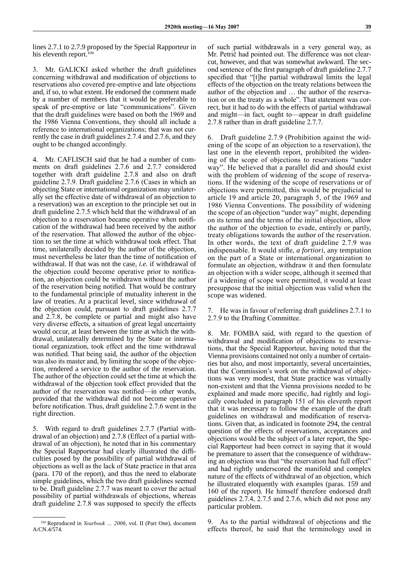lines 2.7.1 to 2.7.9 proposed by the Special Rapporteur in his eleventh report.<sup>104</sup>

3. Mr. GALICKI asked whether the draft guidelines concerning withdrawal and modification of objections to reservations also covered pre-emptive and late objections and, if so, to what extent. He endorsed the comment made by a number of members that it would be preferable to speak of pre-emptive or late "communications". Given that the draft guidelines were based on both the 1969 and the 1986 Vienna Conventions, they should all include a reference to international organizations; that was not currently the case in draft guidelines 2.7.4 and 2.7.6, and they ought to be changed accordingly.

Mr. CAFLISCH said that he had a number of comments on draft guidelines 2.7.6 and 2.7.7 considered together with draft guideline 2.7.8 and also on draft guideline 2.7.9. Draft guideline 2.7.6 (Cases in which an objecting State or international organization may unilaterally set the effective date of withdrawal of an objection to a reservation) was an exception to the principle set out in draft guideline 2.7.5 which held that the withdrawal of an objection to a reservation became operative when notification of the withdrawal had been received by the author of the reservation. That allowed the author of the objection to set the time at which withdrawal took effect. That time, unilaterally decided by the author of the objection, must nevertheless be later than the time of notification of withdrawal. If that was not the case, *i.e.* if withdrawal of the objection could become operative prior to notification, an objection could be withdrawn without the author of the reservation being notified. That would be contrary to the fundamental principle of mutuality inherent in the law of treaties. At a practical level, since withdrawal of the objection could, pursuant to draft guidelines 2.7.7 and 2.7.8, be complete or partial and might also have very diverse effects, a situation of great legal uncertainty would occur, at least between the time at which the withdrawal, unilaterally determined by the State or international organization, took effect and the time withdrawal was notified. That being said, the author of the objection was also its master and, by limiting the scope of the objection, rendered a service to the author of the reservation. The author of the objection could set the time at which the withdrawal of the objection took effect provided that the author of the reservation was notified—in other words, provided that the withdrawal did not become operative before notification. Thus, draft guideline 2.7.6 went in the right direction.

5. With regard to draft guidelines 2.7.7 (Partial withdrawal of an objection) and 2.7.8 (Effect of a partial withdrawal of an objection), he noted that in his commentary the Special Rapporteur had clearly illustrated the difficulties posed by the possibility of partial withdrawal of objections as well as the lack of State practice in that area (para. 170 of the report), and thus the need to elaborate simple guidelines, which the two draft guidelines seemed to be. Draft guideline 2.7.7 was meant to cover the actual possibility of partial withdrawals of objections, whereas draft guideline 2.7.8 was supposed to specify the effects of such partial withdrawals in a very general way, as Mr. Petrič had pointed out. The difference was not clearcut, however, and that was somewhat awkward. The second sentence of the first paragraph of draft guideline 2.7.7 specified that "[t]he partial withdrawal limits the legal effects of the objection on the treaty relations between the author of the objection and … the author of the reservation or on the treaty as a whole". That statement was correct, but it had to do with the effects of partial withdrawal and might—in fact, ought to—appear in draft guideline 2.7.8 rather than in draft guideline 2.7.7.

6. Draft guideline 2.7.9 (Prohibition against the widening of the scope of an objection to a reservation), the last one in the eleventh report, prohibited the widening of the scope of objections to reservations "under way". He believed that a parallel did and should exist with the problem of widening of the scope of reservations. If the widening of the scope of reservations or of objections were permitted, this would be prejudicial to article 19 and article 20, paragraph 5, of the 1969 and 1986 Vienna Conventions. The possibility of widening the scope of an objection "under way" might, depending on its terms and the terms of the initial objection, allow the author of the objection to evade, entirely or partly, treaty obligations towards the author of the reservation. In other words, the text of draft guideline 2.7.9 was indispensable. It would stifle, *a fortiori*, any temptation on the part of a State or international organization to formulate an objection, withdraw it and then formulate an objection with a wider scope, although it seemed that if a widening of scope were permitted, it would at least presuppose that the initial objection was valid when the scope was widened.

7. He was in favour of referring draft guidelines 2.7.1 to 2.7.9 to the Drafting Committee.

8. Mr. FOMBA said, with regard to the question of withdrawal and modification of objections to reservations, that the Special Rapporteur, having noted that the Vienna provisions contained not only a number of certainties but also, and most importantly, several uncertainties, that the Commission's work on the withdrawal of objections was very modest, that State practice was virtually non-existent and that the Vienna provisions needed to be explained and made more specific, had rightly and logically concluded in paragraph 151 of his eleventh report that it was necessary to follow the example of the draft guidelines on withdrawal and modification of reservations. Given that, as indicated in footnote 294, the central question of the effects of reservations, acceptances and objections would be the subject of a later report, the Special Rapporteur had been correct in saying that it would be premature to assert that the consequence of withdrawing an objection was that "the reservation had full effect" and had rightly underscored the manifold and complex nature of the effects of withdrawal of an objection, which he illustrated eloquently with examples (paras. 159 and 160 of the report). He himself therefore endorsed draft guidelines 2.7.4, 2.7.5 and 2.7.6, which did not pose any particular problem.

9. As to the partial withdrawal of objections and the effects thereof, he said that the terminology used in

<sup>104</sup> Reproduced in *Yearbook … 2006*, vol. II (Part One), document A/CN.4/574.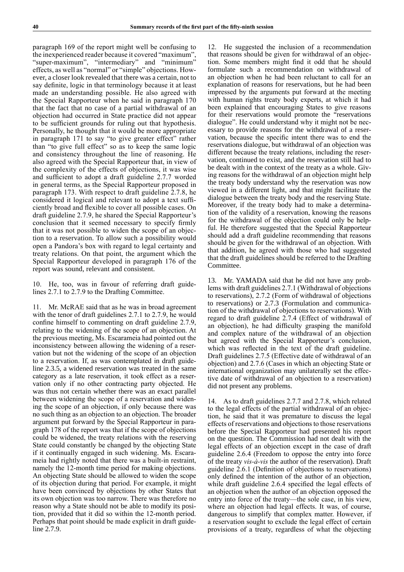paragraph 169 of the report might well be confusing to the inexperienced reader because it covered "maximum", "super-maximum", "intermediary" and "minimum" effects, as well as "normal" or "simple" objections. However, a closer look revealed that there was a certain, not to say definite, logic in that terminology because it at least made an understanding possible. He also agreed with the Special Rapporteur when he said in paragraph 170 that the fact that no case of a partial withdrawal of an objection had occurred in State practice did not appear to be sufficient grounds for ruling out that hypothesis. Personally, he thought that it would be more appropriate in paragraph 171 to say "to give greater effect" rather than "to give full effect" so as to keep the same logic and consistency throughout the line of reasoning. He also agreed with the Special Rapporteur that, in view of the complexity of the effects of objections, it was wise and sufficient to adopt a draft guideline 2.7.7 worded in general terms, as the Special Rapporteur proposed in paragraph 173. With respect to draft guideline 2.7.8, he considered it logical and relevant to adopt a text sufficiently broad and flexible to cover all possible cases. On draft guideline 2.7.9, he shared the Special Rapporteur's conclusion that it seemed necessary to specify firmly that it was not possible to widen the scope of an objection to a reservation. To allow such a possibility would open a Pandora's box with regard to legal certainty and treaty relations. On that point, the argument which the Special Rapporteur developed in paragraph 176 of the report was sound, relevant and consistent.

10. He, too, was in favour of referring draft guidelines 2.7.1 to 2.7.9 to the Drafting Committee.

11. Mr. McRAE said that as he was in broad agreement with the tenor of draft guidelines 2.7.1 to 2.7.9, he would confine himself to commenting on draft guideline 2.7.9, relating to the widening of the scope of an objection. At the previous meeting, Ms. Escarameia had pointed out the inconsistency between allowing the widening of a reservation but not the widening of the scope of an objection to a reservation. If, as was contemplated in draft guideline 2.3.5, a widened reservation was treated in the same category as a late reservation, it took effect as a reservation only if no other contracting party objected. He was thus not certain whether there was an exact parallel between widening the scope of a reservation and widening the scope of an objection, if only because there was no such thing as an objection to an objection. The broader argument put forward by the Special Rapporteur in paragraph 178 of the report was that if the scope of objections could be widened, the treaty relations with the reserving State could constantly be changed by the objecting State if it continually engaged in such widening. Ms. Escarameia had rightly noted that there was a built-in restraint, namely the 12-month time period for making objections. An objecting State should be allowed to widen the scope of its objection during that period. For example, it might have been convinced by objections by other States that its own objection was too narrow. There was therefore no reason why a State should not be able to modify its position, provided that it did so within the 12-month period. Perhaps that point should be made explicit in draft guideline 2.7.9.

12. He suggested the inclusion of a recommendation that reasons should be given for withdrawal of an objection. Some members might find it odd that he should formulate such a recommendation on withdrawal of an objection when he had been reluctant to call for an explanation of reasons for reservations, but he had been impressed by the arguments put forward at the meeting with human rights treaty body experts, at which it had been explained that encouraging States to give reasons for their reservations would promote the "reservations dialogue". He could understand why it might not be necessary to provide reasons for the withdrawal of a reservation, because the specific intent there was to end the reservations dialogue, but withdrawal of an objection was different because the treaty relations, including the reservation, continued to exist, and the reservation still had to be dealt with in the context of the treaty as a whole. Giving reasons for the withdrawal of an objection might help the treaty body understand why the reservation was now viewed in a different light, and that might facilitate the dialogue between the treaty body and the reserving State. Moreover, if the treaty body had to make a determination of the validity of a reservation, knowing the reasons for the withdrawal of the objection could only be helpful. He therefore suggested that the Special Rapporteur should add a draft guideline recommending that reasons should be given for the withdrawal of an objection. With that addition, he agreed with those who had suggested that the draft guidelines should be referred to the Drafting Committee.

13. Mr. YAMADA said that he did not have any problems with draft guidelines 2.7.1 (Withdrawal of objections to reservations), 2.7.2 (Form of withdrawal of objections to reservations) or 2.7.3 (Formulation and communication of the withdrawal of objections to reservations). With regard to draft guideline 2.7.4 (Effect of withdrawal of an objection), he had difficulty grasping the manifold and complex nature of the withdrawal of an objection but agreed with the Special Rapporteur's conclusion, which was reflected in the text of the draft guideline. Draft guidelines 2.7.5 (Effective date of withdrawal of an objection) and 2.7.6 (Cases in which an objecting State or international organization may unilaterally set the effective date of withdrawal of an objection to a reservation) did not present any problems.

14. As to draft guidelines 2.7.7 and 2.7.8, which related to the legal effects of the partial withdrawal of an objection, he said that it was premature to discuss the legal effects of reservations and objections to those reservations before the Special Rapporteur had presented his report on the question. The Commission had not dealt with the legal effects of an objection except in the case of draft guideline 2.6.4 (Freedom to oppose the entry into force of the treaty *vis-à-vis* the author of the reservation). Draft guideline 2.6.1 (Definition of objections to reservations) only defined the intention of the author of an objection, while draft guideline 2.6.4 specified the legal effects of an objection when the author of an objection opposed the entry into force of the treaty—the sole case, in his view, where an objection had legal effects. It was, of course, dangerous to simplify that complex matter. However, if a reservation sought to exclude the legal effect of certain provisions of a treaty, regardless of what the objecting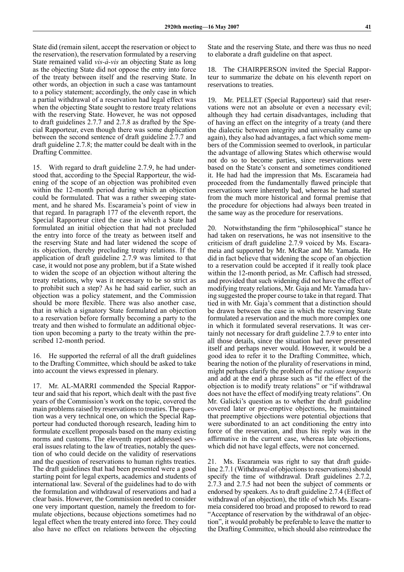State did (remain silent, accept the reservation or object to the reservation), the reservation formulated by a reserving State remained valid *vis-à-vis* an objecting State as long as the objecting State did not oppose the entry into force of the treaty between itself and the reserving State. In other words, an objection in such a case was tantamount to a policy statement; accordingly, the only case in which a partial withdrawal of a reservation had legal effect was when the objecting State sought to restore treaty relations with the reserving State. However, he was not opposed to draft guidelines 2.7.7 and 2.7.8 as drafted by the Special Rapporteur, even though there was some duplication between the second sentence of draft guideline 2.7.7 and draft guideline 2.7.8; the matter could be dealt with in the Drafting Committee.

15. With regard to draft guideline 2.7.9, he had understood that, according to the Special Rapporteur, the widening of the scope of an objection was prohibited even within the 12-month period during which an objection could be formulated. That was a rather sweeping statement, and he shared Ms. Escarameia's point of view in that regard. In paragraph 177 of the eleventh report, the Special Rapporteur cited the case in which a State had formulated an initial objection that had not precluded the entry into force of the treaty as between itself and the reserving State and had later widened the scope of its objection, thereby precluding treaty relations. If the application of draft guideline 2.7.9 was limited to that case, it would not pose any problem, but if a State wished to widen the scope of an objection without altering the treaty relations, why was it necessary to be so strict as to prohibit such a step? As he had said earlier, such an objection was a policy statement, and the Commission should be more flexible. There was also another case, that in which a signatory State formulated an objection to a reservation before formally becoming a party to the treaty and then wished to formulate an additional objection upon becoming a party to the treaty within the prescribed 12-month period.

16. He supported the referral of all the draft guidelines to the Drafting Committee, which should be asked to take into account the views expressed in plenary.

17. Mr. AL-MARRI commended the Special Rapporteur and said that his report, which dealt with the past five years of the Commission's work on the topic, covered the main problems raised by reservations to treaties. The question was a very technical one, on which the Special Rapporteur had conducted thorough research, leading him to formulate excellent proposals based on the many existing norms and customs. The eleventh report addressed several issues relating to the law of treaties, notably the question of who could decide on the validity of reservations and the question of reservations to human rights treaties. The draft guidelines that had been presented were a good starting point for legal experts, academics and students of international law. Several of the guidelines had to do with the formulation and withdrawal of reservations and had a clear basis. However, the Commission needed to consider one very important question, namely the freedom to formulate objections, because objections sometimes had no legal effect when the treaty entered into force. They could also have no effect on relations between the objecting

State and the reserving State, and there was thus no need to elaborate a draft guideline on that aspect.

18. The CHAIRPERSON invited the Special Rapporteur to summarize the debate on his eleventh report on reservations to treaties.

19. Mr. PELLET (Special Rapporteur) said that reservations were not an absolute or even a necessary evil; although they had certain disadvantages, including that of having an effect on the integrity of a treaty (and there the dialectic between integrity and universality came up again), they also had advantages, a fact which some members of the Commission seemed to overlook, in particular the advantage of allowing States which otherwise would not do so to become parties, since reservations were based on the State's consent and sometimes conditioned it. He had had the impression that Ms. Escarameia had proceeded from the fundamentally flawed principle that reservations were inherently bad, whereas he had started from the much more historical and formal premise that the procedure for objections had always been treated in the same way as the procedure for reservations.

20. Notwithstanding the firm "philosophical" stance he had taken on reservations, he was not insensitive to the criticism of draft guideline 2.7.9 voiced by Ms. Escarameia and supported by Mr. McRae and Mr. Yamada. He did in fact believe that widening the scope of an objection to a reservation could be accepted if it really took place within the 12-month period, as Mr. Caflisch had stressed, and provided that such widening did not have the effect of modifying treaty relations, Mr. Gaja and Mr. Yamada having suggested the proper course to take in that regard. That tied in with Mr. Gaja's comment that a distinction should be drawn between the case in which the reserving State formulated a reservation and the much more complex one in which it formulated several reservations. It was certainly not necessary for draft guideline 2.7.9 to enter into all those details, since the situation had never presented itself and perhaps never would. However, it would be a good idea to refer it to the Drafting Committee, which, bearing the notion of the plurality of reservations in mind, might perhaps clarify the problem of the *ratione temporis* and add at the end a phrase such as "if the effect of the objection is to modify treaty relations" or "if withdrawal does not have the effect of modifying treaty relations". On Mr. Galicki's question as to whether the draft guideline covered later or pre-emptive objections, he maintained that preemptive objections were potential objections that were subordinated to an act conditioning the entry into force of the reservation, and thus his reply was in the affirmative in the current case, whereas late objections, which did not have legal effects, were not concerned.

21. Ms. Escarameia was right to say that draft guideline 2.7.1 (Withdrawal of objections to reservations) should specify the time of withdrawal. Draft guidelines 2.7.2, 2.7.3 and 2.7.5 had not been the subject of comments or endorsed by speakers. As to draft guideline 2.7.4 (Effect of withdrawal of an objection), the title of which Ms. Escarameia considered too broad and proposed to reword to read "Acceptance of reservation by the withdrawal of an objection", it would probably be preferable to leave the matter to the Drafting Committee, which should also reintroduce the